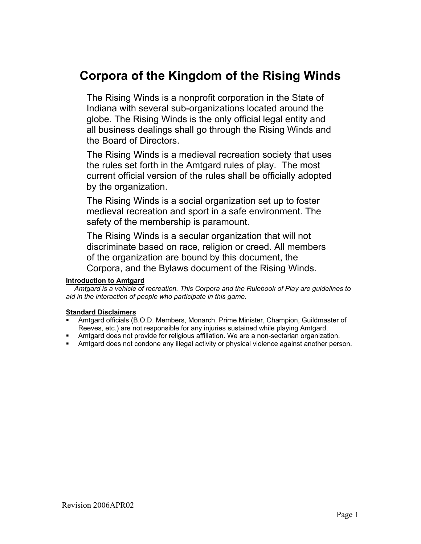# **Corpora of the Kingdom of the Rising Winds**

The Rising Winds is a nonprofit corporation in the State of Indiana with several sub-organizations located around the globe. The Rising Winds is the only official legal entity and all business dealings shall go through the Rising Winds and the Board of Directors.

The Rising Winds is a medieval recreation society that uses the rules set forth in the Amtgard rules of play. The most current official version of the rules shall be officially adopted by the organization.

The Rising Winds is a social organization set up to foster medieval recreation and sport in a safe environment. The safety of the membership is paramount.

The Rising Winds is a secular organization that will not discriminate based on race, religion or creed. All members of the organization are bound by this document, the Corpora, and the Bylaws document of the Rising Winds.

# **Introduction to Amtgard**

 *Amtgard is a vehicle of recreation. This Corpora and the Rulebook of Play are guidelines to aid in the interaction of people who participate in this game.* 

# **Standard Disclaimers**

- Amtgard officials (B.O.D. Members, Monarch, Prime Minister, Champion, Guildmaster of Reeves, etc.) are not responsible for any injuries sustained while playing Amtgard.
- **Amtgard does not provide for religious affiliation. We are a non-sectarian organization.**
- Amtgard does not condone any illegal activity or physical violence against another person.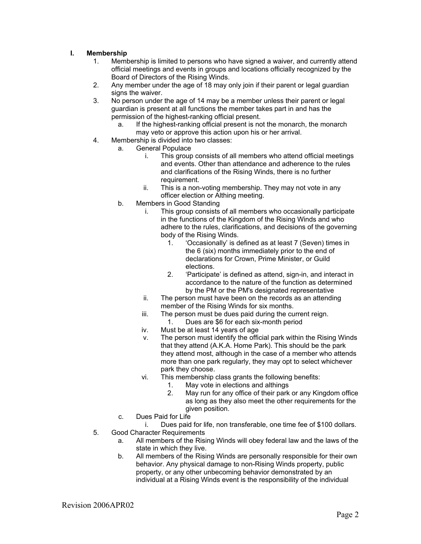# **I. Membership**

- 1. Membership is limited to persons who have signed a waiver, and currently attend official meetings and events in groups and locations officially recognized by the Board of Directors of the Rising Winds.
- 2. Any member under the age of 18 may only join if their parent or legal guardian signs the waiver.
- 3. No person under the age of 14 may be a member unless their parent or legal guardian is present at all functions the member takes part in and has the permission of the highest-ranking official present.
	- a. If the highest-ranking official present is not the monarch, the monarch may veto or approve this action upon his or her arrival.
- 4. Membership is divided into two classes:
	- a. General Populace
		- i. This group consists of all members who attend official meetings and events. Other than attendance and adherence to the rules and clarifications of the Rising Winds, there is no further requirement.
		- ii. This is a non-voting membership. They may not vote in any officer election or Althing meeting.
	- b. Members in Good Standing
		- i. This group consists of all members who occasionally participate in the functions of the Kingdom of the Rising Winds and who adhere to the rules, clarifications, and decisions of the governing body of the Rising Winds.
			- 1. 'Occasionally' is defined as at least 7 (Seven) times in the 6 (six) months immediately prior to the end of declarations for Crown, Prime Minister, or Guild elections.
			- 2. 'Participate' is defined as attend, sign-in, and interact in accordance to the nature of the function as determined by the PM or the PM's designated representative
		- ii. The person must have been on the records as an attending member of the Rising Winds for six months.
		- iii. The person must be dues paid during the current reign. 1. Dues are \$6 for each six-month period
		- iv. Must be at least 14 years of age
		- v. The person must identify the official park within the Rising Winds that they attend (A.K.A. Home Park). This should be the park they attend most, although in the case of a member who attends more than one park regularly, they may opt to select whichever park they choose.
		- vi. This membership class grants the following benefits:
			- 1. May vote in elections and althings
			- 2. May run for any office of their park or any Kingdom office as long as they also meet the other requirements for the given position.
	- c. Dues Paid for Life

i. Dues paid for life, non transferable, one time fee of \$100 dollars. 5. Good Character Requirements

- a. All members of the Rising Winds will obey federal law and the laws of the state in which they live.
- b. All members of the Rising Winds are personally responsible for their own behavior. Any physical damage to non-Rising Winds property, public property, or any other unbecoming behavior demonstrated by an individual at a Rising Winds event is the responsibility of the individual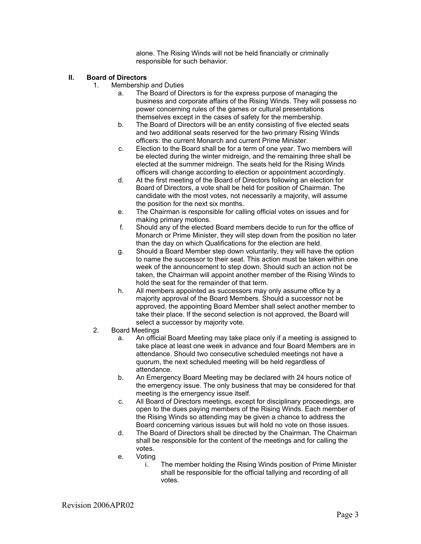alone. The Rising Winds will not be held financially or criminally responsible for such behavior.

# **II. Board of Directors**

- 1. Membership and Duties
	- a. The Board of Directors is for the express purpose of managing the business and corporate affairs of the Rising Winds. They will possess no power concerning rules of the games or cultural presentations themselves except in the cases of safety for the membership.
	- b. The Board of Directors will be an entity consisting of five elected seats and two additional seats reserved for the two primary Rising Winds officers: the current Monarch and current Prime Minister.
	- c. Election to the Board shall be for a term of one year. Two members will be elected during the winter midreign, and the remaining three shall be elected at the summer midreign. The seats held for the Rising Winds officers will change according to election or appointment accordingly.
	- d. At the first meeting of the Board of Directors following an election for Board of Directors, a vote shall be held for position of Chairman. The candidate with the most votes, not necessarily a majority, will assume the position for the next six months.
	- e. The Chairman is responsible for calling official votes on issues and for making primary motions.
	- f. Should any of the elected Board members decide to run for the office of Monarch or Prime Minister, they will step down from the position no later than the day on which Qualifications for the election are held.
	- g. Should a Board Member step down voluntarily, they will have the option to name the successor to their seat. This action must be taken within one week of the announcement to step down. Should such an action not be taken, the Chairman will appoint another member of the Rising Winds to hold the seat for the remainder of that term.
	- h. All members appointed as successors may only assume office by a majority approval of the Board Members. Should a successor not be approved, the appointing Board Member shall select another member to take their place. If the second selection is not approved, the Board will select a successor by majority vote.
- 2. Board Meetings
	- a. An official Board Meeting may take place only if a meeting is assigned to take place at least one week in advance and four Board Members are in attendance. Should two consecutive scheduled meetings not have a quorum, the next scheduled meeting will be held regardless of attendance.
	- b. An Emergency Board Meeting may be declared with 24 hours notice of the emergency issue. The only business that may be considered for that meeting is the emergency issue itself.
	- c. All Board of Directors meetings, except for disciplinary proceedings, are open to the dues paying members of the Rising Winds. Each member of the Rising Winds so attending may be given a chance to address the Board concerning various issues but will hold no vote on those issues.
	- d. The Board of Directors shall be directed by the Chairman. The Chairman shall be responsible for the content of the meetings and for calling the votes.
	- e. Voting
		- i. The member holding the Rising Winds position of Prime Minister shall be responsible for the official tallying and recording of all votes.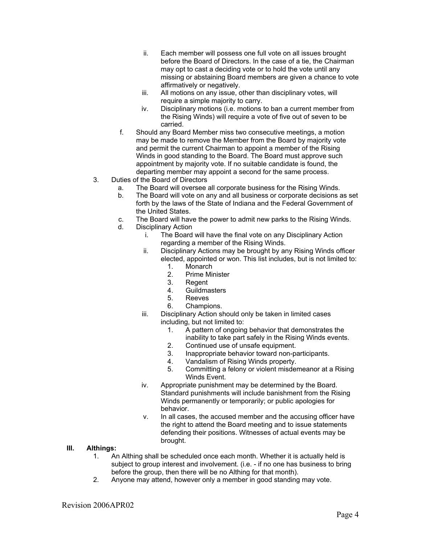- ii. Each member will possess one full vote on all issues brought before the Board of Directors. In the case of a tie, the Chairman may opt to cast a deciding vote or to hold the vote until any missing or abstaining Board members are given a chance to vote affirmatively or negatively.
- iii. All motions on any issue, other than disciplinary votes, will require a simple majority to carry.
- iv. Disciplinary motions (i.e. motions to ban a current member from the Rising Winds) will require a vote of five out of seven to be carried.
- f. Should any Board Member miss two consecutive meetings, a motion may be made to remove the Member from the Board by majority vote and permit the current Chairman to appoint a member of the Rising Winds in good standing to the Board. The Board must approve such appointment by majority vote. If no suitable candidate is found, the departing member may appoint a second for the same process.
- 3. Duties of the Board of Directors
	- a. The Board will oversee all corporate business for the Rising Winds.
	- b. The Board will vote on any and all business or corporate decisions as set forth by the laws of the State of Indiana and the Federal Government of the United States.
	- c. The Board will have the power to admit new parks to the Rising Winds.
	- d. Disciplinary Action
		- i. The Board will have the final vote on any Disciplinary Action regarding a member of the Rising Winds.
		- ii. Disciplinary Actions may be brought by any Rising Winds officer elected, appointed or won. This list includes, but is not limited to:
			- 1. Monarch
			- 2. Prime Minister
			- 3. Regent
			- 4. Guildmasters
			- 5. Reeves
			- 6. Champions.
		- iii. Disciplinary Action should only be taken in limited cases including, but not limited to:
			- 1. A pattern of ongoing behavior that demonstrates the inability to take part safely in the Rising Winds events.
			- 2. Continued use of unsafe equipment.
			- 3. Inappropriate behavior toward non-participants.
			- 4. Vandalism of Rising Winds property.
			- 5. Committing a felony or violent misdemeanor at a Rising Winds Event.
		- iv. Appropriate punishment may be determined by the Board. Standard punishments will include banishment from the Rising Winds permanently or temporarily; or public apologies for behavior.
		- v. In all cases, the accused member and the accusing officer have the right to attend the Board meeting and to issue statements defending their positions. Witnesses of actual events may be brought.

#### **III. Althings:**

- 1. An Althing shall be scheduled once each month. Whether it is actually held is subject to group interest and involvement. (i.e. - if no one has business to bring before the group, then there will be no Althing for that month).
- 2. Anyone may attend, however only a member in good standing may vote.